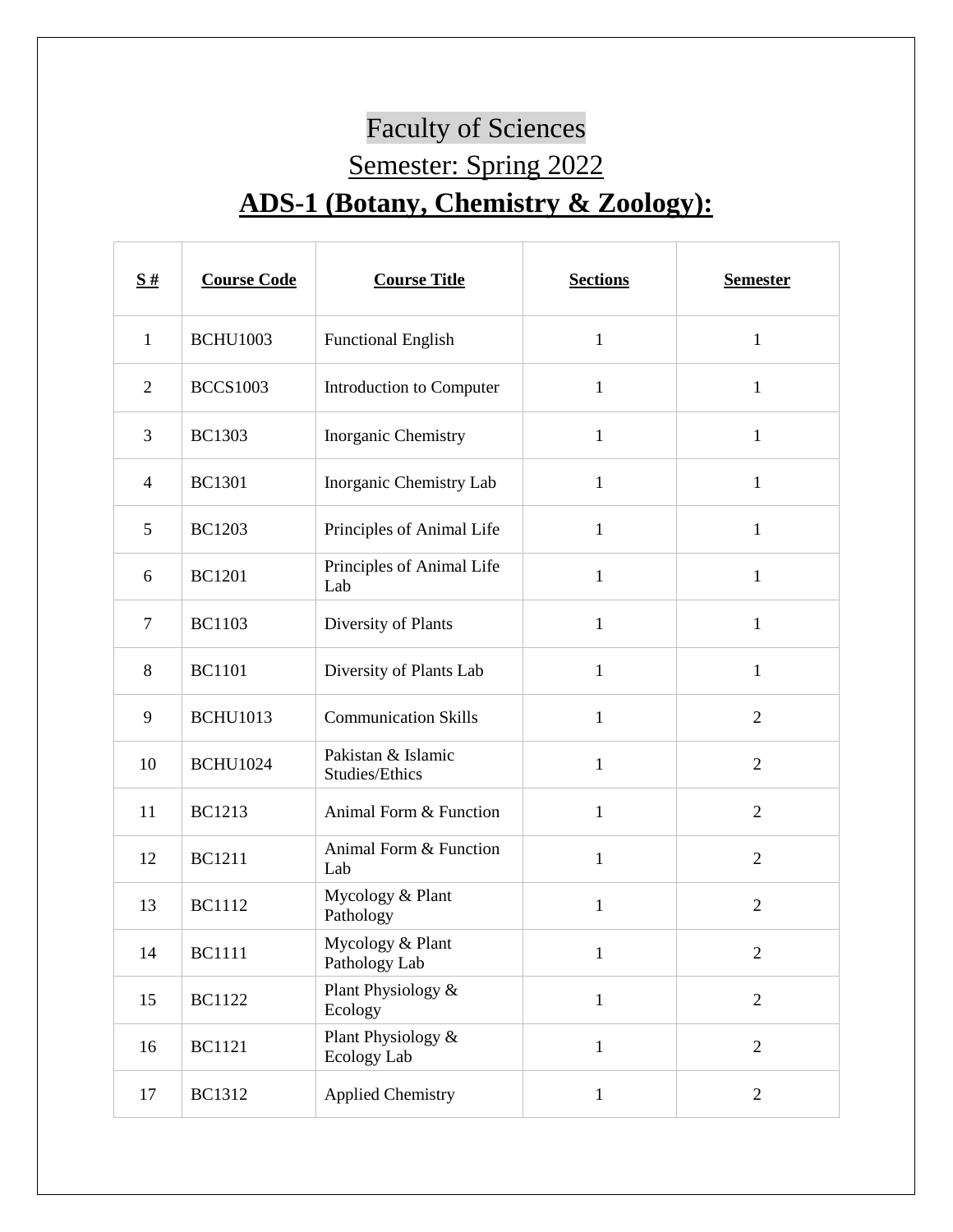## Faculty of Sciences Semester: Spring 2022 **ADS-1 (Botany, Chemistry & Zoology):**

| S#             | <b>Course Code</b> | <b>Course Title</b>                  | <b>Sections</b> | <b>Semester</b> |
|----------------|--------------------|--------------------------------------|-----------------|-----------------|
| $\mathbf{1}$   | <b>BCHU1003</b>    | <b>Functional English</b>            | $\mathbf{1}$    | $\mathbf{1}$    |
| $\overline{2}$ | <b>BCCS1003</b>    | Introduction to Computer             | $\mathbf{1}$    | $\mathbf{1}$    |
| 3              | <b>BC1303</b>      | Inorganic Chemistry                  | $\mathbf{1}$    | 1               |
| $\overline{4}$ | <b>BC1301</b>      | Inorganic Chemistry Lab              | 1               | $\mathbf{1}$    |
| 5              | <b>BC1203</b>      | Principles of Animal Life            | $\mathbf{1}$    | $\mathbf{1}$    |
| 6              | <b>BC1201</b>      | Principles of Animal Life<br>Lab     | 1               | $\mathbf{1}$    |
| $\tau$         | <b>BC1103</b>      | Diversity of Plants                  | $\mathbf{1}$    | $\mathbf{1}$    |
| 8              | <b>BC1101</b>      | Diversity of Plants Lab              | 1               | $\mathbf{1}$    |
| 9              | <b>BCHU1013</b>    | <b>Communication Skills</b>          | $\mathbf{1}$    | $\overline{2}$  |
| 10             | <b>BCHU1024</b>    | Pakistan & Islamic<br>Studies/Ethics | $\mathbf{1}$    | $\overline{2}$  |
| 11             | <b>BC1213</b>      | Animal Form & Function               | $\mathbf{1}$    | $\overline{2}$  |
| 12             | <b>BC1211</b>      | Animal Form & Function<br>Lab        | $\mathbf{1}$    | $\overline{2}$  |
| 13             | <b>BC1112</b>      | Mycology & Plant<br>Pathology        | 1               | $\overline{2}$  |
| 14             | <b>BC1111</b>      | Mycology & Plant<br>Pathology Lab    | $\mathbf{1}$    | $\overline{2}$  |
| 15             | <b>BC1122</b>      | Plant Physiology &<br>Ecology        | $\mathbf{1}$    | $\mathbf{2}$    |
| 16             | <b>BC1121</b>      | Plant Physiology &<br>Ecology Lab    | $\mathbf{1}$    | $\mathbf{2}$    |
| 17             | <b>BC1312</b>      | <b>Applied Chemistry</b>             | $\mathbf{1}$    | $\overline{c}$  |